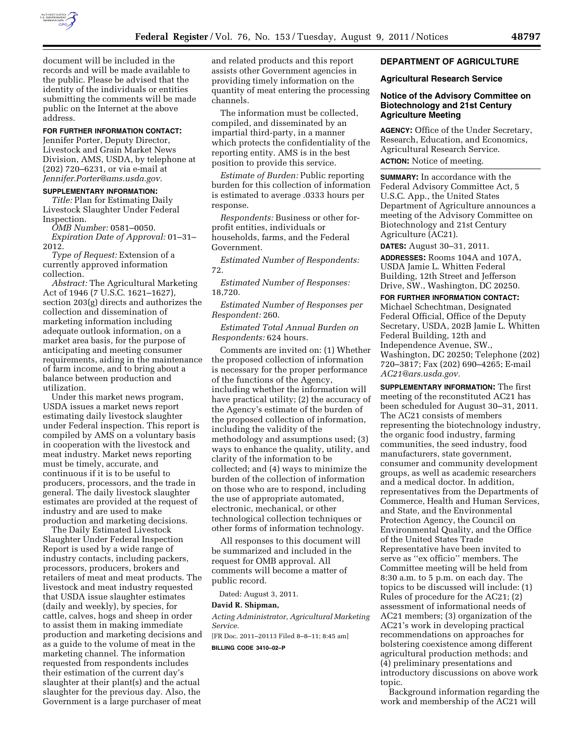

document will be included in the records and will be made available to the public. Please be advised that the identity of the individuals or entities submitting the comments will be made public on the Internet at the above address.

# **FOR FURTHER INFORMATION CONTACT:**

Jennifer Porter, Deputy Director, Livestock and Grain Market News Division, AMS, USDA, by telephone at (202) 720–6231, or via e-mail at *[Jennifer.Porter@ams.usda.gov.](mailto:Jennifer.Porter@ams.usda.gov)* 

#### **SUPPLEMENTARY INFORMATION:**

*Title:* Plan for Estimating Daily Livestock Slaughter Under Federal Inspection.

*OMB Number:* 0581–0050.

*Expiration Date of Approval:* 01–31– 2012.

*Type of Request:* Extension of a currently approved information collection.

*Abstract:* The Agricultural Marketing Act of 1946 (7 U.S.C. 1621–1627), section 203(g) directs and authorizes the collection and dissemination of marketing information including adequate outlook information, on a market area basis, for the purpose of anticipating and meeting consumer requirements, aiding in the maintenance of farm income, and to bring about a balance between production and utilization.

Under this market news program, USDA issues a market news report estimating daily livestock slaughter under Federal inspection. This report is compiled by AMS on a voluntary basis in cooperation with the livestock and meat industry. Market news reporting must be timely, accurate, and continuous if it is to be useful to producers, processors, and the trade in general. The daily livestock slaughter estimates are provided at the request of industry and are used to make production and marketing decisions.

The Daily Estimated Livestock Slaughter Under Federal Inspection Report is used by a wide range of industry contacts, including packers, processors, producers, brokers and retailers of meat and meat products. The livestock and meat industry requested that USDA issue slaughter estimates (daily and weekly), by species, for cattle, calves, hogs and sheep in order to assist them in making immediate production and marketing decisions and as a guide to the volume of meat in the marketing channel. The information requested from respondents includes their estimation of the current day's slaughter at their plant(s) and the actual slaughter for the previous day. Also, the Government is a large purchaser of meat

and related products and this report assists other Government agencies in providing timely information on the quantity of meat entering the processing channels.

The information must be collected, compiled, and disseminated by an impartial third-party, in a manner which protects the confidentiality of the reporting entity. AMS is in the best position to provide this service.

*Estimate of Burden:* Public reporting burden for this collection of information is estimated to average .0333 hours per response.

*Respondents:* Business or other forprofit entities, individuals or households, farms, and the Federal Government.

*Estimated Number of Respondents:*  72.

*Estimated Number of Responses:*  18,720.

*Estimated Number of Responses per Respondent:* 260.

*Estimated Total Annual Burden on Respondents:* 624 hours.

Comments are invited on: (1) Whether the proposed collection of information is necessary for the proper performance of the functions of the Agency, including whether the information will have practical utility; (2) the accuracy of the Agency's estimate of the burden of the proposed collection of information, including the validity of the methodology and assumptions used; (3) ways to enhance the quality, utility, and clarity of the information to be collected; and (4) ways to minimize the burden of the collection of information on those who are to respond, including the use of appropriate automated, electronic, mechanical, or other technological collection techniques or other forms of information technology.

All responses to this document will be summarized and included in the request for OMB approval. All comments will become a matter of public record.

Dated: August 3, 2011.

#### **David R. Shipman,**

*Acting Administrator, Agricultural Marketing Service.* 

[FR Doc. 2011–20113 Filed 8–8–11; 8:45 am]

**BILLING CODE 3410–02–P** 

## **DEPARTMENT OF AGRICULTURE**

### **Agricultural Research Service**

## **Notice of the Advisory Committee on Biotechnology and 21st Century Agriculture Meeting**

**AGENCY:** Office of the Under Secretary, Research, Education, and Economics, Agricultural Research Service. **ACTION:** Notice of meeting.

**SUMMARY:** In accordance with the Federal Advisory Committee Act, 5 U.S.C. App., the United States Department of Agriculture announces a meeting of the Advisory Committee on Biotechnology and 21st Century Agriculture (AC21).

**DATES:** August 30–31, 2011.

**ADDRESSES:** Rooms 104A and 107A, USDA Jamie L. Whitten Federal Building, 12th Street and Jefferson Drive, SW., Washington, DC 20250.

**FOR FURTHER INFORMATION CONTACT:**  Michael Schechtman, Designated Federal Official, Office of the Deputy Secretary, USDA, 202B Jamie L. Whitten Federal Building, 12th and Independence Avenue, SW., Washington, DC 20250; Telephone (202) 720–3817; Fax (202) 690–4265; E-mail *[AC21@ars.usda.gov.](mailto:AC21@ars.usda.gov)* 

**SUPPLEMENTARY INFORMATION:** The first meeting of the reconstituted AC21 has been scheduled for August 30–31, 2011. The AC21 consists of members representing the biotechnology industry, the organic food industry, farming communities, the seed industry, food manufacturers, state government, consumer and community development groups, as well as academic researchers and a medical doctor. In addition, representatives from the Departments of Commerce, Health and Human Services, and State, and the Environmental Protection Agency, the Council on Environmental Quality, and the Office of the United States Trade Representative have been invited to serve as ''ex officio'' members. The Committee meeting will be held from 8:30 a.m. to 5 p.m. on each day. The topics to be discussed will include: (1) Rules of procedure for the AC21; (2) assessment of informational needs of AC21 members; (3) organization of the AC21's work in developing practical recommendations on approaches for bolstering coexistence among different agricultural production methods; and (4) preliminary presentations and introductory discussions on above work topic.

Background information regarding the work and membership of the AC21 will